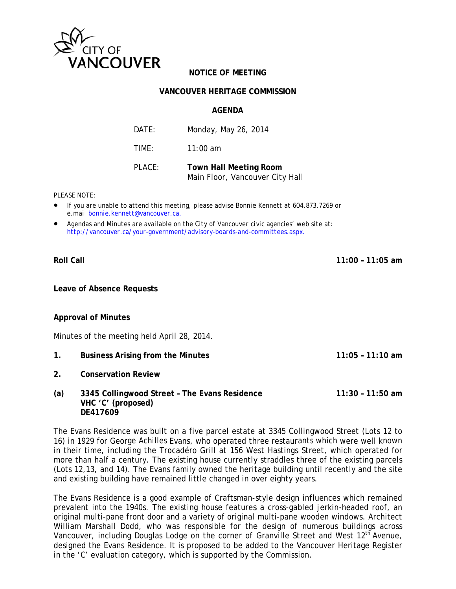

## **NOTICE OF MEETING**

#### **VANCOUVER HERITAGE COMMISSION**

**AGFNDA** 

| DATF:  | Monday, May 26, 2014                                             |
|--------|------------------------------------------------------------------|
| TIMF:  | $11:00$ am                                                       |
| PLACE: | <b>Town Hall Meeting Room</b><br>Main Floor, Vancouver City Hall |

PI FASE NOTE:

- If you are unable to attend this meeting, please advise Bonnie Kennett at 604.873.7269 or e.mail bonnie.kennett@vancouver.ca.
- Agendas and Minutes are available on the City of Vancouver civic agencies' web site at: http://vancouver.ca/your-government/advisory-boards-and-committees.aspx.

**Roll Call** 

 $11:00 - 11:05$  am

 $11:05 - 11:10$  am

Leave of Absence Requests

**Approval of Minutes** 

Minutes of the meeting held April 28, 2014.

- $1.$ **Business Arising from the Minutes**
- $2<sub>1</sub>$ **Conservation Review**
- $(a)$ 3345 Collingwood Street - The Evans Residence  $11:30 - 11:50$  am VHC 'C' (proposed) DE417609

The Evans Residence was built on a five parcel estate at 3345 Collingwood Street (Lots 12 to 16) in 1929 for George Achilles Evans, who operated three restaurants which were well known in their time, including the Trocadéro Grill at 156 West Hastings Street, which operated for more than half a century. The existing house currently straddles three of the existing parcels (Lots 12,13, and 14). The Evans family owned the heritage building until recently and the site and existing building have remained little changed in over eighty years.

The Evans Residence is a good example of Craftsman-style design influences which remained prevalent into the 1940s. The existing house features a cross-gabled jerkin-headed roof, an original multi-pane front door and a variety of original multi-pane wooden windows. Architect William Marshall Dodd, who was responsible for the design of numerous buildings across Vancouver, including Douglas Lodge on the corner of Granville Street and West 12<sup>th</sup> Avenue, designed the Evans Residence. It is proposed to be added to the Vancouver Heritage Register in the 'C' evaluation category, which is supported by the Commission.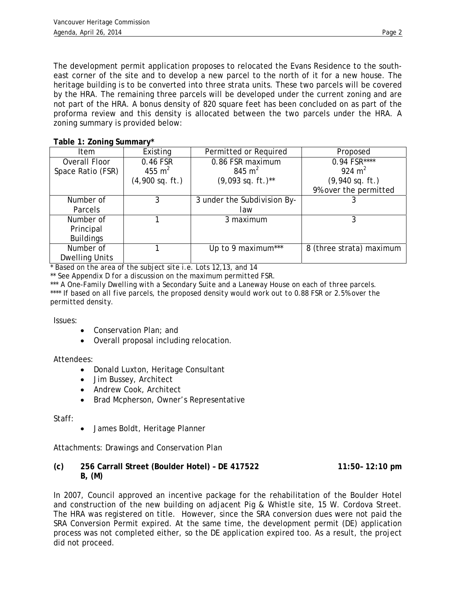The development permit application proposes to relocated the Evans Residence to the southeast corner of the site and to develop a new parcel to the north of it for a new house. The heritage building is to be converted into three strata units. These two parcels will be covered by the HRA. The remaining three parcels will be developed under the current zoning and are not part of the HRA. A bonus density of 820 square feet has been concluded on as part of the proforma review and this density is allocated between the two parcels under the HRA. A zoning summary is provided below:

# **Table 1: Zoning Summary\***

| Item                  | Existing          | Permitted or Required       | Proposed                 |
|-----------------------|-------------------|-----------------------------|--------------------------|
| Overall Floor         | 0.46 FSR          | 0.86 FSR maximum            | $0.94$ FSR****           |
| Space Ratio (FSR)     | 455 $m2$          | 845 $m2$                    | 924 $m2$                 |
|                       | $(4,900$ sq. ft.) | $(9,093$ sq. ft.)**         | $(9,940$ sq. ft.)        |
|                       |                   |                             | 9% over the permitted    |
| Number of             | 3                 | 3 under the Subdivision By- |                          |
| Parcels               |                   | law                         |                          |
| Number of             |                   | 3 maximum                   | 3                        |
| Principal             |                   |                             |                          |
| <b>Buildings</b>      |                   |                             |                          |
| Number of             |                   | Up to 9 maximum***          | 8 (three strata) maximum |
| <b>Dwelling Units</b> |                   |                             |                          |

\* *Based on the area of the subject site i.e. Lots 12,13, and 14* 

*\*\* See Appendix D for a discussion on the maximum permitted FSR.* 

*\*\*\* A One-Family Dwelling with a Secondary Suite and a Laneway House on each of three parcels. \*\*\*\* If based on all five parcels, the proposed density would work out to 0.88 FSR or 2.5% over the permitted density.* 

#### Issues:

- Conservation Plan; and
- Overall proposal including relocation.

#### Attendees:

- Donald Luxton, Heritage Consultant
- Jim Bussey, Architect
- Andrew Cook, Architect
- Brad Mcpherson, Owner's Representative

## Staff:

• James Boldt, Heritage Planner

Attachments: Drawings and Conservation Plan

### **(c) 256 Carrall Street (Boulder Hotel) – DE 417522 11:50– 12:10 pm B, (M)**

In 2007, Council approved an incentive package for the rehabilitation of the Boulder Hotel and construction of the new building on adjacent Pig & Whistle site, 15 W. Cordova Street. The HRA was registered on title. However, since the SRA conversion dues were not paid the SRA Conversion Permit expired. At the same time, the development permit (DE) application process was not completed either, so the DE application expired too. As a result, the project did not proceed.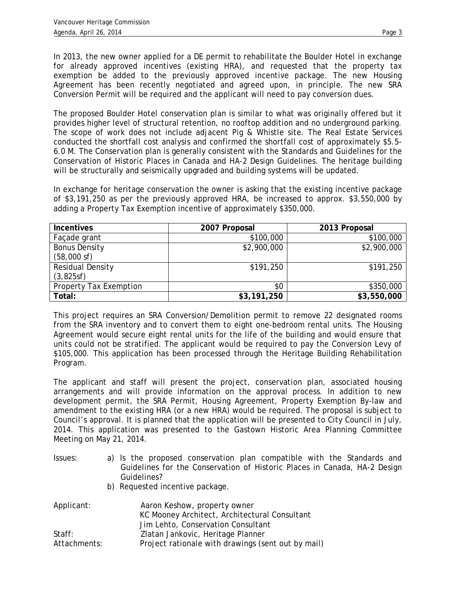In 2013, the new owner applied for a DE permit to rehabilitate the Boulder Hotel in exchange for already approved incentives (existing HRA), and requested that the property tax exemption be added to the previously approved incentive package. The new Housing Agreement has been recently negotiated and agreed upon, in principle. The new SRA Conversion Permit will be required and the applicant will need to pay conversion dues.

The proposed Boulder Hotel conservation plan is similar to what was originally offered but it provides higher level of structural retention, no rooftop addition and no underground parking. The scope of work does not include adjacent Pig & Whistle site. The Real Estate Services conducted the shortfall cost analysis and confirmed the shortfall cost of approximately \$5.5- 6.0 M. The Conservation plan is generally consistent with the Standards and Guidelines for the Conservation of Historic Places in Canada and HA-2 Design Guidelines. The heritage building will be structurally and seismically upgraded and building systems will be updated.

In exchange for heritage conservation the owner is asking that the existing incentive package of \$3,191,250 as per the previously approved HRA, be increased to approx. \$3,550,000 by adding a Property Tax Exemption incentive of approximately \$350,000.

| <b>Incentives</b>      | 2007 Proposal | 2013 Proposal |
|------------------------|---------------|---------------|
| Façade grant           | \$100,000     | \$100,000     |
| <b>Bonus Density</b>   | \$2,900,000   | \$2,900,000   |
| $(58,000 \text{ sf})$  |               |               |
| Residual Density       | \$191,250     | \$191,250     |
| (3,825sf)              |               |               |
| Property Tax Exemption | \$0           | \$350,000     |
| Total:                 | \$3,191,250   | \$3,550,000   |

This project requires an SRA Conversion/Demolition permit to remove 22 designated rooms from the SRA inventory and to convert them to eight one-bedroom rental units. The Housing Agreement would secure eight rental units for the life of the building and would ensure that units could not be stratified. The applicant would be required to pay the Conversion Levy of \$105,000. This application has been processed through the Heritage Building Rehabilitation Program.

The applicant and staff will present the project, conservation plan, associated housing arrangements and will provide information on the approval process. In addition to new development permit, the SRA Permit, Housing Agreement, Property Exemption By-law and amendment to the existing HRA (or a new HRA) would be required. The proposal is subject to Council's approval. It is planned that the application will be presented to City Council in July, 2014. This application was presented to the Gastown Historic Area Planning Committee Meeting on May 21, 2014.

- Issues: a) Is the proposed conservation plan compatible with the Standards and Guidelines for the Conservation of Historic Places in Canada, HA-2 Design Guidelines?
	- b) Requested incentive package.

| Applicant:   | Aaron Keshow, property owner                       |
|--------------|----------------------------------------------------|
|              | KC Mooney Architect, Architectural Consultant      |
|              | Jim Lehto, Conservation Consultant                 |
| Start:       | Zlatan Jankovic, Heritage Planner                  |
| Attachments: | Project rationale with drawings (sent out by mail) |